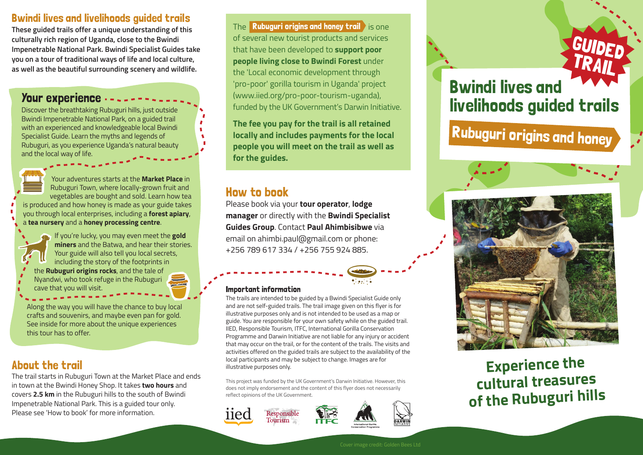# Bwindi lives and livelihoods guided trails

**These guided trails offer a unique understanding of this culturally rich region of Uganda, close to the Bwindi Impenetrable National Park. Bwindi Specialist Guides take you on a tour of traditional ways of life and local culture, as well as the beautiful surrounding scenery and wildlife.**

# Your experience

Discover the breathtaking Rubuguri hills, just outside Bwindi Impenetrable National Park, on a guided trail with an experienced and knowledgeable local Bwindi Specialist Guide. Learn the myths and legends of Rubuguri, as you experience Uganda's natural beauty and the local way of life.



Your adventures starts at the **Market Place** in Rubuguri Town, where locally-grown fruit and vegetables are bought and sold. Learn how tea is produced and how honey is made as your guide takes you through local enterprises, including a **forest apiary**, a **tea nursery** and a **honey processing centre**.



If you're lucky, you may even meet the **gold miners** and the Batwa, and hear their stories. Your guide will also tell you local secrets, including the story of the footprints in the **Rubuguri origins rocks**, and the tale of Nyandwi, who took refuge in the Rubuguri cave that you will visit.

Along the way you will have the chance to buy local crafts and souvenirs, and maybe even pan for gold. See inside for more about the unique experiences this tour has to offer.

# About the trail

The trail starts in Rubuguri Town at the Market Place and ends in town at the Bwindi Honey Shop. It takes **two hours** and covers **2.5 km** in the Rubuguri hills to the south of Bwindi Impenetrable National Park. This is a guided tour only. Please see 'How to book' for more information.

The **Rubuguri origins and honey trail a** is one of several new tourist products and services that have been developed to **support poor people living close to Bwindi Forest** under the 'Local economic development through 'pro-poor' gorilla tourism in Uganda' project (www.iied.org/pro-poor-tourism-uganda), funded by the UK Government's Darwin Initiative.

**The fee you pay for the trail is all retained locally and includes payments for the local people you will meet on the trail as well as for the guides.**

# How to book

Please book via your **tour operator**, **lodge manager** or directly with the **Bwindi Specialist Guides Group**. Contact **Paul Ahimbisibwe** via email on ahimbi.paul@gmail.com or phone: +256 789 617 334 / +256 755 924 885.

## Important information

The trails are intended to be guided by a Bwindi Specialist Guide only and are not self-guided trails. The trail image given on this flyer is for illustrative purposes only and is not intended to be used as a map or guide. You are responsible for your own safety while on the guided trail. IIED, Responsible Tourism, ITFC, International Gorilla Conservation Programme and Darwin Initiative are not liable for any injury or accident that may occur on the trail, or for the content of the trails. The visits and activities offered on the guided trails are subject to the availability of the local participants and may be subject to change. Images are for illustrative purposes only.

This project was funded by the UK Government's Darwin Initiative. However, this does not imply endorsement and the content of this flyer does not necessarily reflect opinions of the UK Government.







# Bwindi lives and livelihoods guided trails

GUIDED

TRAIL

Rubuguri origins and honey



# **Experience the cultural treasures of the Rubuguri hills**